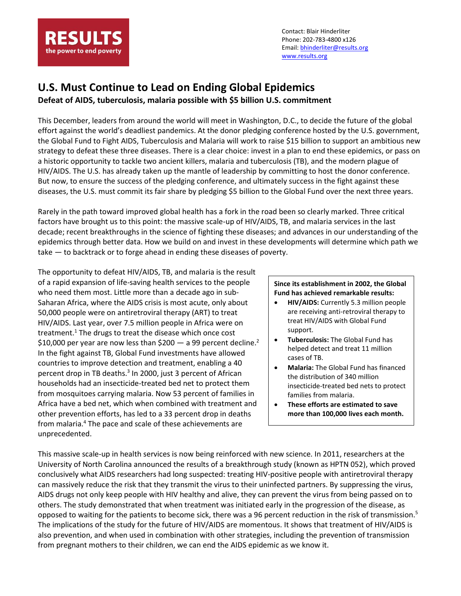

Contact: Blair Hinderliter Phone: 202-783-4800 x126 Email: [bhinderliter@results.org](mailto:bhinderliter@results.org) [www.results.org](http://www.results.org/)

## **U.S. Must Continue to Lead on Ending Global Epidemics**

**Defeat of AIDS, tuberculosis, malaria possible with \$5 billion U.S. commitment**

This December, leaders from around the world will meet in Washington, D.C., to decide the future of the global effort against the world's deadliest pandemics. At the donor pledging conference hosted by the U.S. government, the Global Fund to Fight AIDS, Tuberculosis and Malaria will work to raise \$15 billion to support an ambitious new strategy to defeat these three diseases. There is a clear choice: invest in a plan to end these epidemics, or pass on a historic opportunity to tackle two ancient killers, malaria and tuberculosis (TB), and the modern plague of HIV/AIDS. The U.S. has already taken up the mantle of leadership by committing to host the donor conference. But now, to ensure the success of the pledging conference, and ultimately success in the fight against these diseases, the U.S. must commit its fair share by pledging \$5 billion to the Global Fund over the next three years.

Rarely in the path toward improved global health has a fork in the road been so clearly marked. Three critical factors have brought us to this point: the massive scale-up of HIV/AIDS, TB, and malaria services in the last decade; recent breakthroughs in the science of fighting these diseases; and advances in our understanding of the epidemics through better data. How we build on and invest in these developments will determine which path we take — to backtrack or to forge ahead in ending these diseases of poverty.

The opportunity to defeat HIV/AIDS, TB, and malaria is the result of a rapid expansion of life-saving health services to the people who need them most. Little more than a decade ago in sub-Saharan Africa, where the AIDS crisis is most acute, only about 50,000 people were on antiretroviral therapy (ART) to treat HIV/AIDS. Last year, over 7.5 million people in Africa were on treatment.<sup>1</sup> The drugs to treat the disease which once cost \$10,000 per year are now less than \$200  $-$  a 99 percent decline.<sup>2</sup> In the fight against TB, Global Fund investments have allowed countries to improve detection and treatment, enabling a 40 percent drop in TB deaths.<sup>3</sup> In 2000, just 3 percent of African households had an insecticide-treated bed net to protect them from mosquitoes carrying malaria. Now 53 percent of families in Africa have a bed net, which when combined with treatment and other prevention efforts, has led to a 33 percent drop in deaths from malaria.<sup>4</sup> The pace and scale of these achievements are unprecedented.

## **Since its establishment in 2002, the Global Fund has achieved remarkable results:**

- **HIV/AIDS:** Currently 5.3 million people are receiving anti-retroviral therapy to treat HIV/AIDS with Global Fund support.
- **Tuberculosis:** The Global Fund has helped detect and treat 11 million cases of TB.
- **Malaria:** The Global Fund has financed the distribution of 340 million insecticide-treated bed nets to protect families from malaria.
- **These efforts are estimated to save more than 100,000 lives each month.**

This massive scale-up in health services is now being reinforced with new science. In 2011, researchers at the University of North Carolina announced the results of a breakthrough study (known as HPTN 052), which proved conclusively what AIDS researchers had long suspected: treating HIV-positive people with antiretroviral therapy can massively reduce the risk that they transmit the virus to their uninfected partners. By suppressing the virus, AIDS drugs not only keep people with HIV healthy and alive, they can prevent the virus from being passed on to others. The study demonstrated that when treatment was initiated early in the progression of the disease, as opposed to waiting for the patients to become sick, there was a 96 percent reduction in the risk of transmission.<sup>5</sup> The implications of the study for the future of HIV/AIDS are momentous. It shows that treatment of HIV/AIDS is also prevention, and when used in combination with other strategies, including the prevention of transmission from pregnant mothers to their children, we can end the AIDS epidemic as we know it.